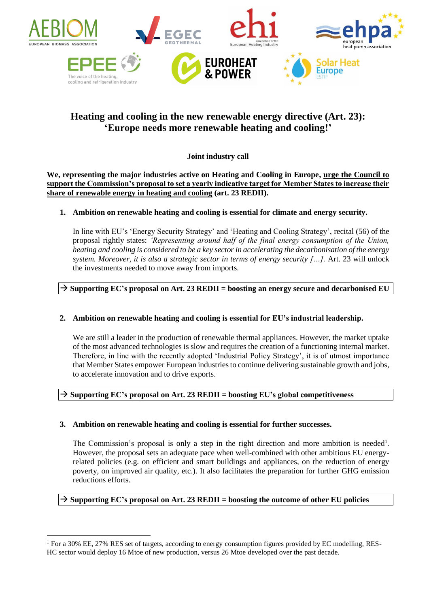

# **Heating and cooling in the new renewable energy directive (Art. 23): 'Europe needs more renewable heating and cooling!'**

# **Joint industry call**

**We, representing the major industries active on Heating and Cooling in Europe, urge the Council to support the Commission's proposal to set a yearly indicative target for Member States to increase their share of renewable energy in heating and cooling (art. 23 REDII).**

## **1. Ambition on renewable heating and cooling is essential for climate and energy security.**

In line with EU's 'Energy Security Strategy' and 'Heating and Cooling Strategy', recital (56) of the proposal rightly states: *'Representing around half of the final energy consumption of the Union, heating and cooling is considered to be a key sector in accelerating the decarbonisation of the energy system. Moreover, it is also a strategic sector in terms of energy security […].* Art. 23 will unlock the investments needed to move away from imports.

## **Supporting EC's proposal on Art. 23 REDII = boosting an energy secure and decarbonised EU**

#### **2. Ambition on renewable heating and cooling is essential for EU's industrial leadership.**

We are still a leader in the production of renewable thermal appliances. However, the market uptake of the most advanced technologies is slow and requires the creation of a functioning internal market. Therefore, in line with the recently adopted 'Industrial Policy Strategy', it is of utmost importance that Member States empower European industries to continue delivering sustainable growth and jobs, to accelerate innovation and to drive exports.

#### **Supporting EC's proposal on Art. 23 REDII = boosting EU's global competitiveness**

#### **3. Ambition on renewable heating and cooling is essential for further successes.**

The Commission's proposal is only a step in the right direction and more ambition is needed<sup>1</sup>. However, the proposal sets an adequate pace when well-combined with other ambitious EU energyrelated policies (e.g. on efficient and smart buildings and appliances, on the reduction of energy poverty, on improved air quality, etc.). It also facilitates the preparation for further GHG emission reductions efforts.

#### **Supporting EC's proposal on Art. 23 REDII = boosting the outcome of other EU policies**

 $\overline{a}$ 

<sup>1</sup> For a 30% EE, 27% RES set of targets, according to energy consumption figures provided by EC modelling, RES-HC sector would deploy 16 Mtoe of new production, versus 26 Mtoe developed over the past decade.